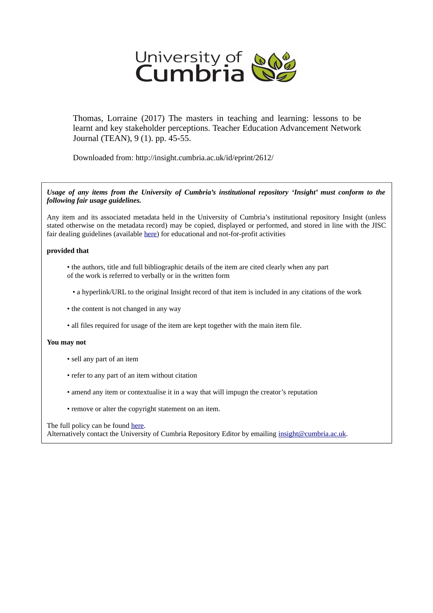

Thomas, Lorraine (2017) The masters in teaching and learning: lessons to be learnt and key stakeholder perceptions. Teacher Education Advancement Network Journal (TEAN), 9 (1). pp. 45-55.

Downloaded from: http://insight.cumbria.ac.uk/id/eprint/2612/

*Usage of any items from the University of Cumbria's institutional repository 'Insight' must conform to the following fair usage guidelines.*

Any item and its associated metadata held in the University of Cumbria's institutional repository Insight (unless stated otherwise on the metadata record) may be copied, displayed or performed, and stored in line with the JISC fair dealing guidelines (available [here\)](http://www.ukoln.ac.uk/services/elib/papers/pa/fair/) for educational and not-for-profit activities

#### **provided that**

- the authors, title and full bibliographic details of the item are cited clearly when any part of the work is referred to verbally or in the written form
	- a hyperlink/URL to the original Insight record of that item is included in any citations of the work
- the content is not changed in any way
- all files required for usage of the item are kept together with the main item file.

#### **You may not**

- sell any part of an item
- refer to any part of an item without citation
- amend any item or contextualise it in a way that will impugn the creator's reputation
- remove or alter the copyright statement on an item.

#### The full policy can be found [here.](http://insight.cumbria.ac.uk/legal.html#section5)

Alternatively contact the University of Cumbria Repository Editor by emailing [insight@cumbria.ac.uk.](mailto:insight@cumbria.ac.uk)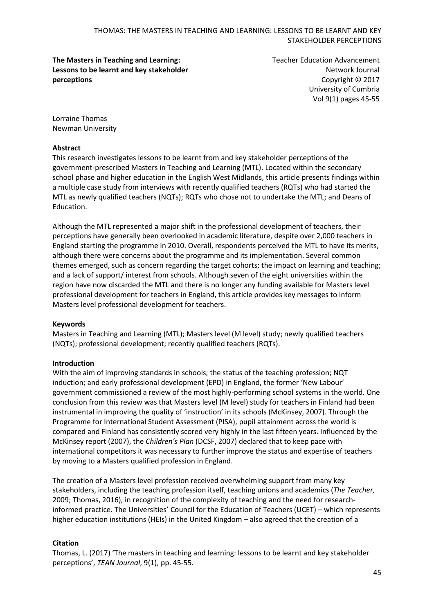## **The Masters in Teaching and Learning: Lessons to be learnt and key stakeholder perceptions**

Teacher Education Advancement Network Journal Copyright © 2017 University of Cumbria Vol 9(1) pages 45-55

Lorraine Thomas Newman University

# **Abstract**

This research investigates lessons to be learnt from and key stakeholder perceptions of the government-prescribed Masters in Teaching and Learning (MTL). Located within the secondary school phase and higher education in the English West Midlands, this article presents findings within a multiple case study from interviews with recently qualified teachers (RQTs) who had started the MTL as newly qualified teachers (NQTs); RQTs who chose not to undertake the MTL; and Deans of Education.

Although the MTL represented a major shift in the professional development of teachers, their perceptions have generally been overlooked in academic literature, despite over 2,000 teachers in England starting the programme in 2010. Overall, respondents perceived the MTL to have its merits, although there were concerns about the programme and its implementation. Several common themes emerged, such as concern regarding the target cohorts; the impact on learning and teaching; and a lack of support/ interest from schools. Although seven of the eight universities within the region have now discarded the MTL and there is no longer any funding available for Masters level professional development for teachers in England, this article provides key messages to inform Masters level professional development for teachers.

#### **Keywords**

Masters in Teaching and Learning (MTL); Masters level (M level) study; newly qualified teachers (NQTs); professional development; recently qualified teachers (RQTs).

# **Introduction**

With the aim of improving standards in schools; the status of the teaching profession; NQT induction; and early professional development (EPD) in England, the former 'New Labour' government commissioned a review of the most highly-performing school systems in the world. One conclusion from this review was that Masters level (M level) study for teachers in Finland had been instrumental in improving the quality of 'instruction' in its schools (McKinsey, 2007). Through the Programme for International Student Assessment (PISA), pupil attainment across the world is compared and Finland has consistently scored very highly in the last fifteen years. Influenced by the McKinsey report (2007), the *Children's Plan* (DCSF, 2007) declared that to keep pace with international competitors it was necessary to further improve the status and expertise of teachers by moving to a Masters qualified profession in England.

The creation of a Masters level profession received overwhelming support from many key stakeholders, including the teaching profession itself, teaching unions and academics (*The Teacher,* 2009; Thomas, 2016), in recognition of the complexity of teaching and the need for researchinformed practice. The Universities' Council for the Education of Teachers (UCET) – which represents higher education institutions (HEIs) in the United Kingdom – also agreed that the creation of a

# **Citation**

Thomas, L. (2017) 'The masters in teaching and learning: lessons to be learnt and key stakeholder perceptions', *TEAN Journal*, 9(1), pp. 45-55.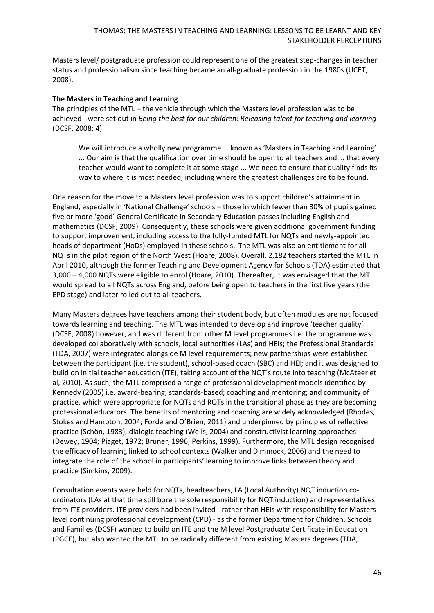Masters level/ postgraduate profession could represent one of the greatest step-changes in teacher status and professionalism since teaching became an all-graduate profession in the 1980s (UCET, 2008).

## **The Masters in Teaching and Learning**

The principles of the MTL – the vehicle through which the Masters level profession was to be achieved - were set out in *Being the best for our children: Releasing talent for teaching and learning* (DCSF, 2008: 4):

We will introduce a wholly new programme … known as 'Masters in Teaching and Learning' ... Our aim is that the qualification over time should be open to all teachers and … that every teacher would want to complete it at some stage ... We need to ensure that quality finds its way to where it is most needed, including where the greatest challenges are to be found.

One reason for the move to a Masters level profession was to support children's attainment in England, especially in 'National Challenge' schools – those in which fewer than 30% of pupils gained five or more 'good' General Certificate in Secondary Education passes including English and mathematics (DCSF, 2009). Consequently, these schools were given additional government funding to support improvement, including access to the fully-funded MTL for NQTs and newly-appointed heads of department (HoDs) employed in these schools. The MTL was also an entitlement for all NQTs in the pilot region of the North West (Hoare, 2008). Overall, 2,182 teachers started the MTL in April 2010, although the former Teaching and Development Agency for Schools (TDA) estimated that 3,000 – 4,000 NQTs were eligible to enrol (Hoare, 2010). Thereafter, it was envisaged that the MTL would spread to all NQTs across England, before being open to teachers in the first five years (the EPD stage) and later rolled out to all teachers.

Many Masters degrees have teachers among their student body, but often modules are not focused towards learning and teaching. The MTL was intended to develop and improve 'teacher quality' (DCSF, 2008) however, and was different from other M level programmes i.e. the programme was developed collaboratively with schools, local authorities (LAs) and HEIs; the Professional Standards (TDA, 2007) were integrated alongside M level requirements; new partnerships were established between the participant (i.e. the student), school-based coach (SBC) and HEI; and it was designed to build on initial teacher education (ITE), taking account of the NQT's route into teaching (McAteer et al, 2010). As such, the MTL comprised a range of professional development models identified by Kennedy (2005) i.e. award-bearing; standards-based; coaching and mentoring; and community of practice, which were appropriate for NQTs and RQTs in the transitional phase as they are becoming professional educators. The benefits of mentoring and coaching are widely acknowledged (Rhodes, Stokes and Hampton, 2004; Forde and O'Brien, 2011) and underpinned by principles of reflective practice (Schön, 1983), dialogic teaching (Wells, 2004) and constructivist learning approaches (Dewey, 1904; Piaget, 1972; Bruner, 1996; Perkins, 1999). Furthermore, the MTL design recognised the efficacy of learning linked to school contexts (Walker and Dimmock, 2006) and the need to integrate the role of the school in participants' learning to improve links between theory and practice (Simkins, 2009).

Consultation events were held for NQTs, headteachers, LA (Local Authority) NQT induction coordinators (LAs at that time still bore the sole responsibility for NQT induction) and representatives from ITE providers. ITE providers had been invited - rather than HEIs with responsibility for Masters level continuing professional development (CPD) - as the former Department for Children, Schools and Families (DCSF) wanted to build on ITE and the M level Postgraduate Certificate in Education (PGCE), but also wanted the MTL to be radically different from existing Masters degrees (TDA,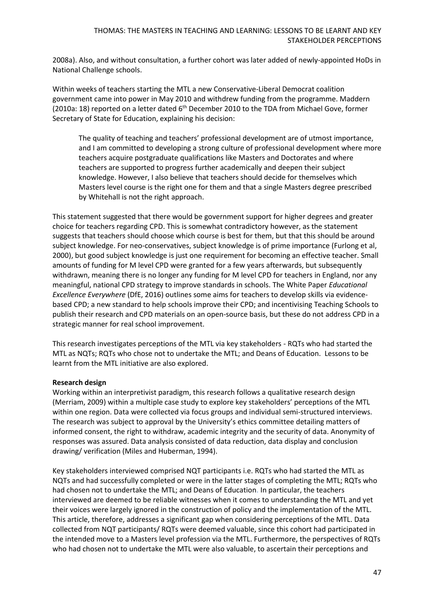## THOMAS: THE MASTERS IN TEACHING AND LEARNING: LESSONS TO BE LEARNT AND KEY STAKEHOLDER PERCEPTIONS

2008a). Also, and without consultation, a further cohort was later added of newly-appointed HoDs in National Challenge schools.

Within weeks of teachers starting the MTL a new Conservative-Liberal Democrat coalition government came into power in May 2010 and withdrew funding from the programme. Maddern (2010a: 18) reported on a letter dated  $6<sup>th</sup>$  December 2010 to the TDA from Michael Gove, former Secretary of State for Education, explaining his decision:

The quality of teaching and teachers' professional development are of utmost importance, and I am committed to developing a strong culture of professional development where more teachers acquire postgraduate qualifications like Masters and Doctorates and where teachers are supported to progress further academically and deepen their subject knowledge. However, I also believe that teachers should decide for themselves which Masters level course is the right one for them and that a single Masters degree prescribed by Whitehall is not the right approach.

This statement suggested that there would be government support for higher degrees and greater choice for teachers regarding CPD. This is somewhat contradictory however, as the statement suggests that teachers should choose which course is best for them, but that this should be around subject knowledge. For neo-conservatives, subject knowledge is of prime importance (Furlong et al, 2000), but good subject knowledge is just one requirement for becoming an effective teacher. Small amounts of funding for M level CPD were granted for a few years afterwards, but subsequently withdrawn, meaning there is no longer any funding for M level CPD for teachers in England, nor any meaningful, national CPD strategy to improve standards in schools. The White Paper *Educational Excellence Everywhere* (DfE, 2016) outlines some aims for teachers to develop skills via evidencebased CPD; a new standard to help schools improve their CPD; and incentivising Teaching Schools to publish their research and CPD materials on an open-source basis, but these do not address CPD in a strategic manner for real school improvement.

This research investigates perceptions of the MTL via key stakeholders - RQTs who had started the MTL as NQTs; RQTs who chose not to undertake the MTL; and Deans of Education. Lessons to be learnt from the MTL initiative are also explored.

#### **Research design**

Working within an interpretivist paradigm, this research follows a qualitative research design (Merriam, 2009) within a multiple case study to explore key stakeholders' perceptions of the MTL within one region. Data were collected via focus groups and individual semi-structured interviews. The research was subject to approval by the University's ethics committee detailing matters of informed consent, the right to withdraw, academic integrity and the security of data. Anonymity of responses was assured. Data analysis consisted of data reduction, data display and conclusion drawing/ verification (Miles and Huberman, 1994).

Key stakeholders interviewed comprised NQT participants i.e. RQTs who had started the MTL as NQTs and had successfully completed or were in the latter stages of completing the MTL; RQTs who had chosen not to undertake the MTL; and Deans of Education. In particular, the teachers interviewed are deemed to be reliable witnesses when it comes to understanding the MTL and yet their voices were largely ignored in the construction of policy and the implementation of the MTL. This article, therefore, addresses a significant gap when considering perceptions of the MTL. Data collected from NQT participants/ RQTs were deemed valuable, since this cohort had participated in the intended move to a Masters level profession via the MTL. Furthermore, the perspectives of RQTs who had chosen not to undertake the MTL were also valuable, to ascertain their perceptions and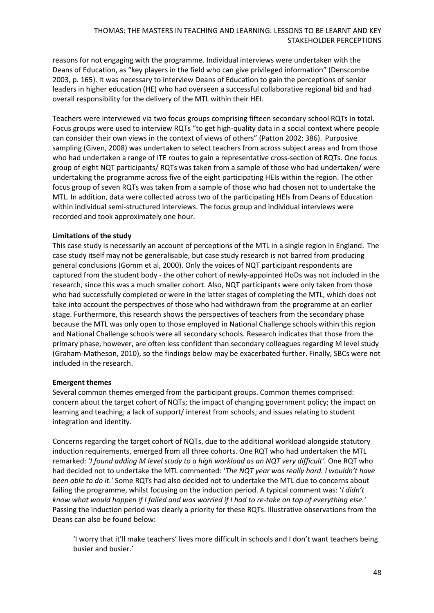reasons for not engaging with the programme. Individual interviews were undertaken with the Deans of Education, as "key players in the field who can give privileged information" (Denscombe 2003, p. 165). It was necessary to interview Deans of Education to gain the perceptions of senior leaders in higher education (HE) who had overseen a successful collaborative regional bid and had overall responsibility for the delivery of the MTL within their HEI.

Teachers were interviewed via two focus groups comprising fifteen secondary school RQTs in total. Focus groups were used to interview RQTs "to get high-quality data in a social context where people can consider their own views in the context of views of others" (Patton 2002: 386). Purposive sampling (Given, 2008) was undertaken to select teachers from across subject areas and from those who had undertaken a range of ITE routes to gain a representative cross-section of RQTs. One focus group of eight NQT participants/ RQTs was taken from a sample of those who had undertaken/ were undertaking the programme across five of the eight participating HEIs within the region. The other focus group of seven RQTs was taken from a sample of those who had chosen not to undertake the MTL. In addition, data were collected across two of the participating HEIs from Deans of Education within individual semi-structured interviews. The focus group and individual interviews were recorded and took approximately one hour.

## **Limitations of the study**

This case study is necessarily an account of perceptions of the MTL in a single region in England. The case study itself may not be generalisable, but case study research is not barred from producing general conclusions (Gomm et al, 2000). Only the voices of NQT participant respondents are captured from the student body - the other cohort of newly-appointed HoDs was not included in the research, since this was a much smaller cohort. Also, NQT participants were only taken from those who had successfully completed or were in the latter stages of completing the MTL, which does not take into account the perspectives of those who had withdrawn from the programme at an earlier stage. Furthermore, this research shows the perspectives of teachers from the secondary phase because the MTL was only open to those employed in National Challenge schools within this region and National Challenge schools were all secondary schools. Research indicates that those from the primary phase, however, are often less confident than secondary colleagues regarding M level study (Graham-Matheson, 2010), so the findings below may be exacerbated further. Finally, SBCs were not included in the research.

#### **Emergent themes**

Several common themes emerged from the participant groups. Common themes comprised: concern about the target cohort of NQTs; the impact of changing government policy; the impact on learning and teaching; a lack of support/ interest from schools; and issues relating to student integration and identity.

Concerns regarding the target cohort of NQTs, due to the additional workload alongside statutory induction requirements, emerged from all three cohorts. One RQT who had undertaken the MTL remarked: '*I found adding M level study to a high workload as an NQT very difficult'.* One RQT who had decided not to undertake the MTL commented: '*The NQT year was really hard. I wouldn't have been able to do it.'* Some RQTs had also decided not to undertake the MTL due to concerns about failing the programme, whilst focusing on the induction period. A typical comment was: '*I didn't know what would happen if I failed and was worried if I had to re-take on top of everything else.'* Passing the induction period was clearly a priority for these RQTs. Illustrative observations from the Deans can also be found below:

'I worry that it'll make teachers' lives more difficult in schools and I don't want teachers being busier and busier.'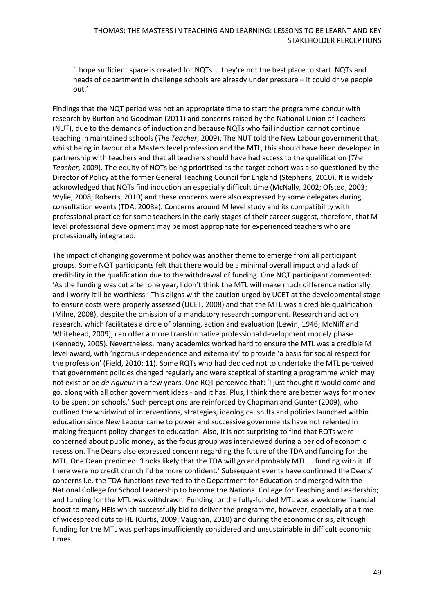'I hope sufficient space is created for NQTs … they're not the best place to start. NQTs and heads of department in challenge schools are already under pressure – it could drive people out.'

Findings that the NQT period was not an appropriate time to start the programme concur with research by Burton and Goodman (2011) and concerns raised by the National Union of Teachers (NUT), due to the demands of induction and because NQTs who fail induction cannot continue teaching in maintained schools (*The Teacher*, 2009). The NUT told the New Labour government that, whilst being in favour of a Masters level profession and the MTL, this should have been developed in partnership with teachers and that all teachers should have had access to the qualification (*The Teacher,* 2009). The equity of NQTs being prioritised as the target cohort was also questioned by the Director of Policy at the former General Teaching Council for England (Stephens, 2010). It is widely acknowledged that NQTs find induction an especially difficult time (McNally, 2002; Ofsted, 2003; Wylie, 2008; Roberts, 2010) and these concerns were also expressed by some delegates during consultation events (TDA, 2008a). Concerns around M level study and its compatibility with professional practice for some teachers in the early stages of their career suggest, therefore, that M level professional development may be most appropriate for experienced teachers who are professionally integrated.

The impact of changing government policy was another theme to emerge from all participant groups. Some NQT participants felt that there would be a minimal overall impact and a lack of credibility in the qualification due to the withdrawal of funding. One NQT participant commented: 'As the funding was cut after one year, I don't think the MTL will make much difference nationally and I worry it'll be worthless.' This aligns with the caution urged by UCET at the developmental stage to ensure costs were properly assessed (UCET, 2008) and that the MTL was a credible qualification (Milne, 2008), despite the omission of a mandatory research component. Research and action research, which facilitates a circle of planning, action and evaluation (Lewin, 1946; McNiff and Whitehead, 2009), can offer a more transformative professional development model/ phase (Kennedy, 2005). Nevertheless, many academics worked hard to ensure the MTL was a credible M level award, with 'rigorous independence and externality' to provide 'a basis for social respect for the profession' (Field, 2010: 11). Some RQTs who had decided not to undertake the MTL perceived that government policies changed regularly and were sceptical of starting a programme which may not exist or be *de rigueur* in a few years. One RQT perceived that: 'I just thought it would come and go, along with all other government ideas - and it has. Plus, I think there are better ways for money to be spent on schools.' Such perceptions are reinforced by Chapman and Gunter (2009), who outlined the whirlwind of interventions, strategies, ideological shifts and policies launched within education since New Labour came to power and successive governments have not relented in making frequent policy changes to education. Also, it is not surprising to find that RQTs were concerned about public money, as the focus group was interviewed during a period of economic recession. The Deans also expressed concern regarding the future of the TDA and funding for the MTL. One Dean predicted: 'Looks likely that the TDA will go and probably MTL … funding with it. If there were no credit crunch I'd be more confident.' Subsequent events have confirmed the Deans' concerns i.e. the TDA functions reverted to the Department for Education and merged with the National College for School Leadership to become the National College for Teaching and Leadership; and funding for the MTL was withdrawn. Funding for the fully-funded MTL was a welcome financial boost to many HEIs which successfully bid to deliver the programme, however, especially at a time of widespread cuts to HE (Curtis, 2009; Vaughan, 2010) and during the economic crisis, although funding for the MTL was perhaps insufficiently considered and unsustainable in difficult economic times.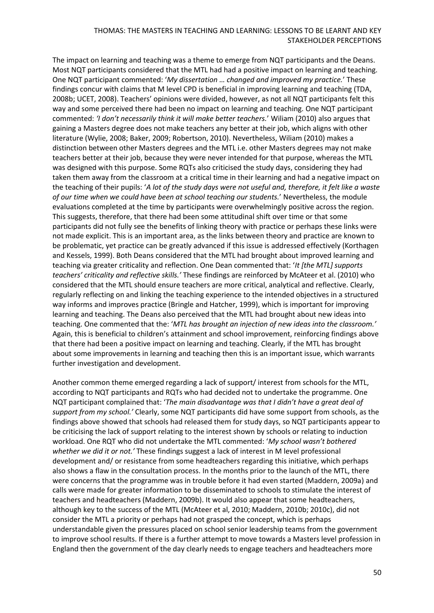#### THOMAS: THE MASTERS IN TEACHING AND LEARNING: LESSONS TO BE LEARNT AND KEY STAKEHOLDER PERCEPTIONS

The impact on learning and teaching was a theme to emerge from NQT participants and the Deans. Most NQT participants considered that the MTL had had a positive impact on learning and teaching. One NQT participant commented: '*My dissertation … changed and improved my practice.*' These findings concur with claims that M level CPD is beneficial in improving learning and teaching (TDA, 2008b; UCET, 2008). Teachers' opinions were divided, however, as not all NQT participants felt this way and some perceived there had been no impact on learning and teaching. One NQT participant commented: *'I don't necessarily think it will make better teachers.*' Wiliam (2010) also argues that gaining a Masters degree does not make teachers any better at their job, which aligns with other literature (Wylie, 2008; Baker, 2009; Robertson, 2010). Nevertheless, Wiliam (2010) makes a distinction between other Masters degrees and the MTL i.e. other Masters degrees may not make teachers better at their job, because they were never intended for that purpose, whereas the MTL was designed with this purpose. Some RQTs also criticised the study days, considering they had taken them away from the classroom at a critical time in their learning and had a negative impact on the teaching of their pupils: '*A lot of the study days were not useful and, therefore, it felt like a waste of our time when we could have been at school teaching our students.*' Nevertheless, the module evaluations completed at the time by participants were overwhelmingly positive across the region. This suggests, therefore, that there had been some attitudinal shift over time or that some participants did not fully see the benefits of linking theory with practice or perhaps these links were not made explicit. This is an important area, as the links between theory and practice are known to be problematic, yet practice can be greatly advanced if this issue is addressed effectively (Korthagen and Kessels, 1999). Both Deans considered that the MTL had brought about improved learning and teaching via greater criticality and reflection. One Dean commented that: '*It [the MTL] supports teachers' criticality and reflective skills.'* These findings are reinforced by McAteer et al. (2010) who considered that the MTL should ensure teachers are more critical, analytical and reflective. Clearly, regularly reflecting on and linking the teaching experience to the intended objectives in a structured way informs and improves practice (Bringle and Hatcher, 1999), which is important for improving learning and teaching. The Deans also perceived that the MTL had brought about new ideas into teaching. One commented that the: '*MTL has brought an injection of new ideas into the classroom.'* Again, this is beneficial to children's attainment and school improvement, reinforcing findings above that there had been a positive impact on learning and teaching. Clearly, if the MTL has brought about some improvements in learning and teaching then this is an important issue, which warrants further investigation and development.

Another common theme emerged regarding a lack of support/ interest from schools for the MTL, according to NQT participants and RQTs who had decided not to undertake the programme. One NQT participant complained that: '*The main disadvantage was that I didn't have a great deal of support from my school.'* Clearly, some NQT participants did have some support from schools, as the findings above showed that schools had released them for study days, so NQT participants appear to be criticising the lack of support relating to the interest shown by schools or relating to induction workload. One RQT who did not undertake the MTL commented: '*My school wasn't bothered whether we did it or not.'* These findings suggest a lack of interest in M level professional development and/ or resistance from some headteachers regarding this initiative, which perhaps also shows a flaw in the consultation process. In the months prior to the launch of the MTL, there were concerns that the programme was in trouble before it had even started (Maddern, 2009a) and calls were made for greater information to be disseminated to schools to stimulate the interest of teachers and headteachers (Maddern, 2009b). It would also appear that some headteachers, although key to the success of the MTL (McAteer et al, 2010; Maddern, 2010b; 2010c), did not consider the MTL a priority or perhaps had not grasped the concept, which is perhaps understandable given the pressures placed on school senior leadership teams from the government to improve school results. If there is a further attempt to move towards a Masters level profession in England then the government of the day clearly needs to engage teachers and headteachers more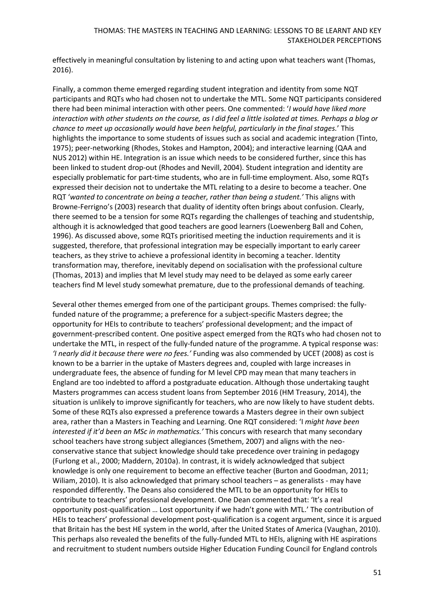effectively in meaningful consultation by listening to and acting upon what teachers want (Thomas, 2016).

Finally, a common theme emerged regarding student integration and identity from some NQT participants and RQTs who had chosen not to undertake the MTL. Some NQT participants considered there had been minimal interaction with other peers. One commented: '*I would have liked more interaction with other students on the course, as I did feel a little isolated at times. Perhaps a blog or chance to meet up occasionally would have been helpful, particularly in the final stages.*' This highlights the importance to some students of issues such as social and academic integration (Tinto, 1975); peer-networking (Rhodes, Stokes and Hampton, 2004); and interactive learning (QAA and NUS 2012) within HE. Integration is an issue which needs to be considered further, since this has been linked to student drop-out (Rhodes and Nevill, 2004). Student integration and identity are especially problematic for part-time students, who are in full-time employment. Also, some RQTs expressed their decision not to undertake the MTL relating to a desire to become a teacher. One RQT '*wanted to concentrate on being a teacher, rather than being a student.'* This aligns with Browne-Ferrigno's (2003) research that duality of identity often brings about confusion. Clearly, there seemed to be a tension for some RQTs regarding the challenges of teaching and studentship, although it is acknowledged that good teachers are good learners (Loewenberg Ball and Cohen, 1996). As discussed above, some RQTs prioritised meeting the induction requirements and it is suggested, therefore, that professional integration may be especially important to early career teachers, as they strive to achieve a professional identity in becoming a teacher. Identity transformation may, therefore, inevitably depend on socialisation with the professional culture (Thomas, 2013) and implies that M level study may need to be delayed as some early career teachers find M level study somewhat premature, due to the professional demands of teaching.

Several other themes emerged from one of the participant groups. Themes comprised: the fullyfunded nature of the programme; a preference for a subject-specific Masters degree; the opportunity for HEIs to contribute to teachers' professional development; and the impact of government-prescribed content. One positive aspect emerged from the RQTs who had chosen not to undertake the MTL, in respect of the fully-funded nature of the programme. A typical response was: *'I nearly did it because there were no fees.'* Funding was also commended by UCET (2008) as cost is known to be a barrier in the uptake of Masters degrees and, coupled with large increases in undergraduate fees, the absence of funding for M level CPD may mean that many teachers in England are too indebted to afford a postgraduate education. Although those undertaking taught Masters programmes can access student loans from September 2016 (HM Treasury, 2014), the situation is unlikely to improve significantly for teachers, who are now likely to have student debts. Some of these RQTs also expressed a preference towards a Masters degree in their own subject area, rather than a Masters in Teaching and Learning. One RQT considered: 'I *might have been interested if it'd been an MSc in mathematics.'* This concurs with research that many secondary school teachers have strong subject allegiances (Smethem, 2007) and aligns with the neoconservative stance that subject knowledge should take precedence over training in pedagogy (Furlong et al., 2000; Maddern, 2010a). In contrast, it is widely acknowledged that subject knowledge is only one requirement to become an effective teacher (Burton and Goodman, 2011; Wiliam, 2010). It is also acknowledged that primary school teachers – as generalists - may have responded differently. The Deans also considered the MTL to be an opportunity for HEIs to contribute to teachers' professional development. One Dean commented that: 'It's a real opportunity post-qualification … Lost opportunity if we hadn't gone with MTL.' The contribution of HEIs to teachers' professional development post-qualification is a cogent argument, since it is argued that Britain has the best HE system in the world, after the United States of America (Vaughan, 2010). This perhaps also revealed the benefits of the fully-funded MTL to HEIs, aligning with HE aspirations and recruitment to student numbers outside Higher Education Funding Council for England controls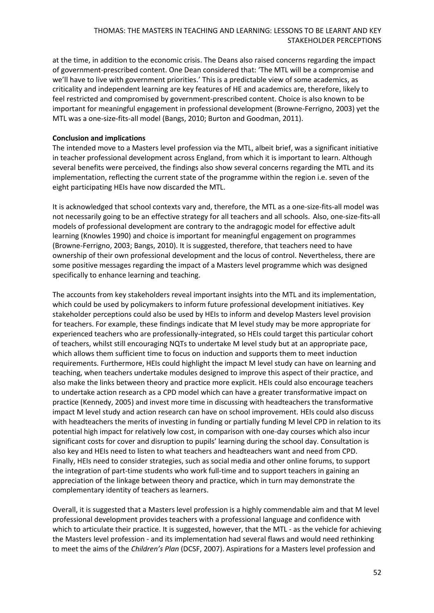at the time, in addition to the economic crisis. The Deans also raised concerns regarding the impact of government-prescribed content. One Dean considered that: 'The MTL will be a compromise and we'll have to live with government priorities.' This is a predictable view of some academics, as criticality and independent learning are key features of HE and academics are, therefore, likely to feel restricted and compromised by government-prescribed content. Choice is also known to be important for meaningful engagement in professional development (Browne-Ferrigno, 2003) yet the MTL was a one-size-fits-all model (Bangs, 2010; Burton and Goodman, 2011).

## **Conclusion and implications**

The intended move to a Masters level profession via the MTL, albeit brief, was a significant initiative in teacher professional development across England, from which it is important to learn. Although several benefits were perceived, the findings also show several concerns regarding the MTL and its implementation, reflecting the current state of the programme within the region i.e. seven of the eight participating HEIs have now discarded the MTL.

It is acknowledged that school contexts vary and, therefore, the MTL as a one-size-fits-all model was not necessarily going to be an effective strategy for all teachers and all schools. Also, one-size-fits-all models of professional development are contrary to the andragogic model for effective adult learning (Knowles 1990) and choice is important for meaningful engagement on programmes (Browne-Ferrigno, 2003; Bangs, 2010). It is suggested, therefore, that teachers need to have ownership of their own professional development and the locus of control. Nevertheless, there are some positive messages regarding the impact of a Masters level programme which was designed specifically to enhance learning and teaching.

The accounts from key stakeholders reveal important insights into the MTL and its implementation, which could be used by policymakers to inform future professional development initiatives. Key stakeholder perceptions could also be used by HEIs to inform and develop Masters level provision for teachers. For example, these findings indicate that M level study may be more appropriate for experienced teachers who are professionally-integrated, so HEIs could target this particular cohort of teachers, whilst still encouraging NQTs to undertake M level study but at an appropriate pace, which allows them sufficient time to focus on induction and supports them to meet induction requirements. Furthermore, HEIs could highlight the impact M level study can have on learning and teaching, when teachers undertake modules designed to improve this aspect of their practice, and also make the links between theory and practice more explicit. HEIs could also encourage teachers to undertake action research as a CPD model which can have a greater transformative impact on practice (Kennedy, 2005) and invest more time in discussing with headteachers the transformative impact M level study and action research can have on school improvement. HEIs could also discuss with headteachers the merits of investing in funding or partially funding M level CPD in relation to its potential high impact for relatively low cost, in comparison with one-day courses which also incur significant costs for cover and disruption to pupils' learning during the school day. Consultation is also key and HEIs need to listen to what teachers and headteachers want and need from CPD. Finally, HEIs need to consider strategies, such as social media and other online forums, to support the integration of part-time students who work full-time and to support teachers in gaining an appreciation of the linkage between theory and practice, which in turn may demonstrate the complementary identity of teachers as learners.

Overall, it is suggested that a Masters level profession is a highly commendable aim and that M level professional development provides teachers with a professional language and confidence with which to articulate their practice. It is suggested, however, that the MTL - as the vehicle for achieving the Masters level profession - and its implementation had several flaws and would need rethinking to meet the aims of the *Children's Plan* (DCSF, 2007). Aspirations for a Masters level profession and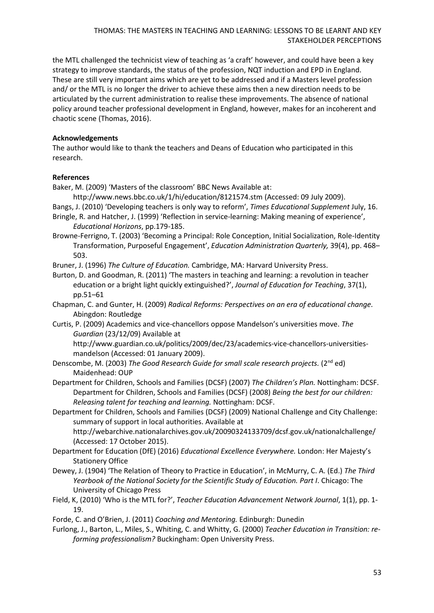the MTL challenged the technicist view of teaching as 'a craft' however, and could have been a key strategy to improve standards, the status of the profession, NQT induction and EPD in England. These are still very important aims which are yet to be addressed and if a Masters level profession and/ or the MTL is no longer the driver to achieve these aims then a new direction needs to be articulated by the current administration to realise these improvements. The absence of national policy around teacher professional development in England, however, makes for an incoherent and chaotic scene (Thomas, 2016).

## **Acknowledgements**

The author would like to thank the teachers and Deans of Education who participated in this research.

## **References**

Baker, M. (2009) 'Masters of the classroom' BBC News Available at:

- <http://www.news.bbc.co.uk/1/hi/education/8121574.stm> (Accessed: 09 July 2009).
- Bangs, J. (2010) 'Developing teachers is only way to reform', *Times Educational Supplement* July, 16.
- Bringle, R. and Hatcher, J. (1999) 'Reflection in service-learning: Making meaning of experience', *Educational Horizons*, pp.179-185.
- Browne-Ferrigno, T. (2003) 'Becoming a Principal: Role Conception, Initial Socialization, Role-Identity Transformation, Purposeful Engagement', *Education Administration Quarterly,* 39(4), pp. 468– 503.

Bruner, J. (1996) *The Culture of Education.* Cambridge, MA: Harvard University Press.

Burton, D. and Goodman, R. (2011) 'The masters in teaching and learning: a revolution in teacher education or a bright light quickly extinguished?', *Journal of Education for Teaching*, 37(1), pp.51–61

- Chapman, C. and Gunter, H. (2009) *Radical Reforms: Perspectives on an era of educational change.* Abingdon: Routledge
- Curtis, P. (2009) Academics and vice-chancellors oppose Mandelson's universities move. *The Guardian* (23/12/09) Available at

[http://www.guardian.co.uk/politics/2009/dec/23/academics-vice-chancellors-universities](http://www.guardian.co.uk/politics/2009/dec/23/academics-vice-chancellors-universities-mandelson)[mandelson](http://www.guardian.co.uk/politics/2009/dec/23/academics-vice-chancellors-universities-mandelson) (Accessed: 01 January 2009).

- Denscombe, M. (2003) *The Good Research Guide for small scale research projects.* (2nd ed) Maidenhead: OUP
- Department for Children, Schools and Families (DCSF) (2007) *The Children's Plan.* Nottingham: DCSF. Department for Children, Schools and Families (DCSF) (2008) *Being the best for our children: Releasing talent for teaching and learning.* Nottingham: DCSF.
- Department for Children, Schools and Families (DCSF) (2009) National Challenge and City Challenge: summary of support in local authorities. Available at <http://webarchive.nationalarchives.gov.uk/20090324133709/dcsf.gov.uk/nationalchallenge/> (Accessed: 17 October 2015).
- Department for Education (DfE) (2016) *Educational Excellence Everywhere.* London: Her Majesty's Stationery Office
- Dewey, J. (1904) 'The Relation of Theory to Practice in Education', in McMurry, C. A. (Ed.) *The Third Yearbook of the National Society for the Scientific Study of Education. Part I*. Chicago: The University of Chicago Press
- Field, K, (2010) 'Who is the MTL for?', *Teacher Education Advancement Network Journal*, 1(1), pp. 1- 19.
- Forde, C. and O'Brien, J. (2011) *Coaching and Mentoring.* Edinburgh: Dunedin
- Furlong, J., Barton, L., Miles, S., Whiting, C. and Whitty, G. (2000) *Teacher Education in Transition: reforming professionalism?* Buckingham: Open University Press.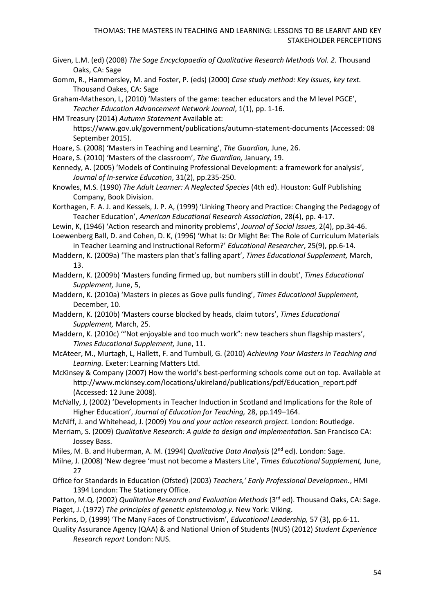- Given, L.M. (ed) (2008) *The Sage Encyclopaedia of Qualitative Research Methods Vol. 2.* Thousand Oaks, CA: Sage
- Gomm, R., Hammersley, M. and Foster, P. (eds) (2000) *Case study method: Key issues, key text.* Thousand Oakes, CA: Sage
- Graham-Matheson, L, (2010) 'Masters of the game: teacher educators and the M level PGCE', *Teacher Education Advancement Network Journal*, 1(1), pp. 1-16.
- HM Treasury (2014) *Autumn Statement* Available at: <https://www.gov.uk/government/publications/autumn-statement-documents> (Accessed: 08
	- September 2015).
- Hoare, S. (2008) 'Masters in Teaching and Learning', *The Guardian,* June, 26.
- Hoare, S. (2010) 'Masters of the classroom', *The Guardian,* January, 19.
- Kennedy, A. (2005) 'Models of Continuing Professional Development: a framework for analysis', *Journal of In-service Education*, 31(2), pp.235-250.
- Knowles, M.S. (1990) *The Adult Learner: A Neglected Species* (4th ed). Houston: Gulf Publishing Company, Book Division.
- Korthagen, F. A. J. and Kessels, J. P. A, (1999) 'Linking Theory and Practice: Changing the Pedagogy of Teacher Education', *American Educational Research Association*, 28(4), pp. 4-17.
- Lewin, K, (1946) 'Action research and minority problems', *Journal of Social Issues*, 2(4), pp.34-46.
- Loewenberg Ball, D. and Cohen, D. K, (1996) 'What Is: Or Might Be: The Role of Curriculum Materials in Teacher Learning and Instructional Reform?' *Educational Researcher*, 25(9), pp.6-14.
- Maddern, K. (2009a) 'The masters plan that's falling apart', *Times Educational Supplement,* March, 13.
- Maddern, K. (2009b) 'Masters funding firmed up, but numbers still in doubt', *Times Educational Supplement,* June, 5,
- Maddern, K. (2010a) 'Masters in pieces as Gove pulls funding', *Times Educational Supplement,* December, 10.
- Maddern, K. (2010b) 'Masters course blocked by heads, claim tutors', *Times Educational Supplement,* March, 25.
- Maddern, K. (2010c) '"Not enjoyable and too much work": new teachers shun flagship masters', *Times Educational Supplement,* June, 11.
- McAteer, M., Murtagh, L, Hallett, F. and Turnbull, G. (2010) *Achieving Your Masters in Teaching and Learning.* Exeter: Learning Matters Ltd.
- McKinsey & Company (2007) How the world's best-performing schools come out on top. Available at [http://www.mckinsey.com/locations/ukireland/publications/pdf/Education\\_report.pdf](http://www.mckinsey.com/locations/ukireland/publications/pdf/Education_report.pdf) (Accessed: 12 June 2008).
- McNally, J, (2002) 'Developments in Teacher Induction in Scotland and Implications for the Role of Higher Education', *Journal of Education for Teaching,* 28, pp.149–164.
- McNiff, J. and Whitehead, J. (2009) *You and your action research project.* London: Routledge.
- Merriam, S. (2009) *Qualitative Research: A guide to design and implementation.* San Francisco CA: Jossey Bass.
- Miles, M. B. and Huberman, A. M. (1994) *Qualitative Data Analysis* (2nd ed). London: Sage.
- Milne, J. (2008) 'New degree 'must not become a Masters Lite', *Times Educational Supplement,* June, 27
- Office for Standards in Education (Ofsted) (2003) *Teachers,' Early Professional Developmen.*, HMI 1394 London: The Stationery Office.
- Patton, M.Q. (2002) *Qualitative Research and Evaluation Methods* (3<sup>rd</sup> ed). Thousand Oaks, CA: Sage. Piaget, J. (1972) *The principles of genetic epistemolog.y.* New York: Viking.
- Perkins, D, (1999) 'The Many Faces of Constructivism', *Educational Leadership,* 57 (3), pp.6-11.
- Quality Assurance Agency (QAA) & and National Union of Students (NUS) (2012) *Student Experience Research report* London: NUS.